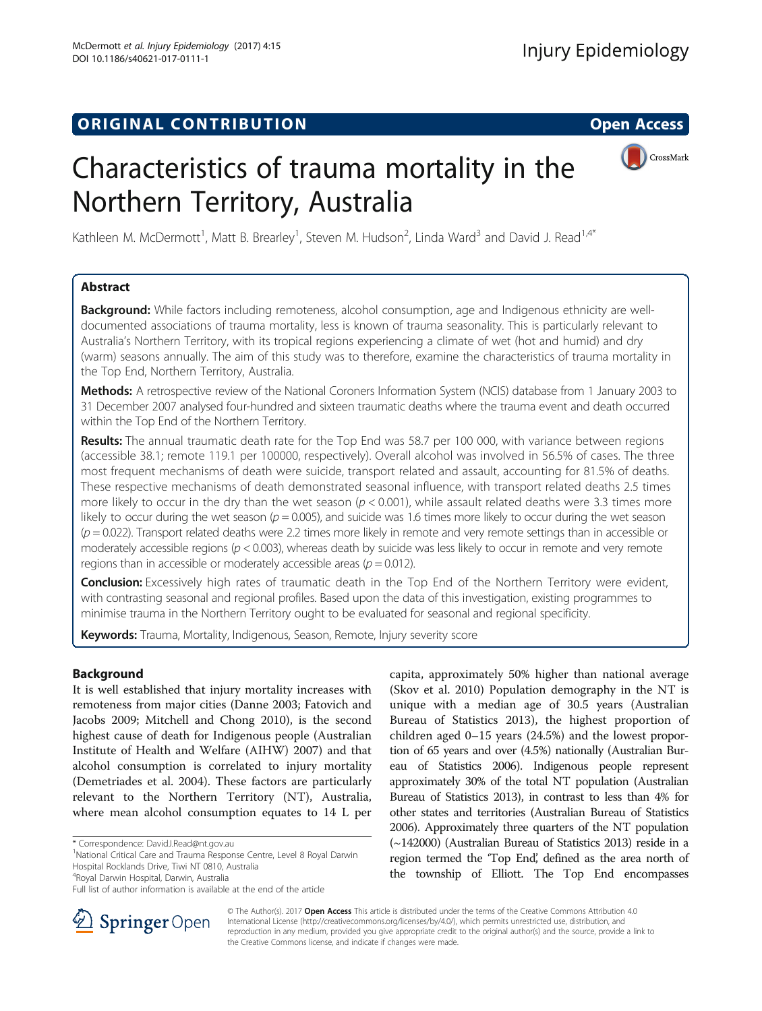# **ORIGINAL CONTRIBUTION CONTRIBUTION CONTRIBUTION**



# Characteristics of trauma mortality in the Northern Territory, Australia

Kathleen M. McDermott<sup>1</sup>, Matt B. Brearley<sup>1</sup>, Steven M. Hudson<sup>2</sup>, Linda Ward<sup>3</sup> and David J. Read<sup>1,4\*</sup>

# Abstract

Background: While factors including remoteness, alcohol consumption, age and Indigenous ethnicity are welldocumented associations of trauma mortality, less is known of trauma seasonality. This is particularly relevant to Australia's Northern Territory, with its tropical regions experiencing a climate of wet (hot and humid) and dry (warm) seasons annually. The aim of this study was to therefore, examine the characteristics of trauma mortality in the Top End, Northern Territory, Australia.

Methods: A retrospective review of the National Coroners Information System (NCIS) database from 1 January 2003 to 31 December 2007 analysed four-hundred and sixteen traumatic deaths where the trauma event and death occurred within the Top End of the Northern Territory.

Results: The annual traumatic death rate for the Top End was 58.7 per 100 000, with variance between regions (accessible 38.1; remote 119.1 per 100000, respectively). Overall alcohol was involved in 56.5% of cases. The three most frequent mechanisms of death were suicide, transport related and assault, accounting for 81.5% of deaths. These respective mechanisms of death demonstrated seasonal influence, with transport related deaths 2.5 times more likely to occur in the dry than the wet season ( $p < 0.001$ ), while assault related deaths were 3.3 times more likely to occur during the wet season ( $p = 0.005$ ), and suicide was 1.6 times more likely to occur during the wet season  $(p = 0.022)$ . Transport related deaths were 2.2 times more likely in remote and very remote settings than in accessible or moderately accessible regions ( $p < 0.003$ ), whereas death by suicide was less likely to occur in remote and very remote regions than in accessible or moderately accessible areas ( $p = 0.012$ ).

**Conclusion:** Excessively high rates of traumatic death in the Top End of the Northern Territory were evident, with contrasting seasonal and regional profiles. Based upon the data of this investigation, existing programmes to minimise trauma in the Northern Territory ought to be evaluated for seasonal and regional specificity.

Keywords: Trauma, Mortality, Indigenous, Season, Remote, Injury severity score

# Background

It is well established that injury mortality increases with remoteness from major cities (Danne [2003;](#page-9-0) Fatovich and Jacobs [2009;](#page-9-0) Mitchell and Chong [2010\)](#page-9-0), is the second highest cause of death for Indigenous people (Australian Institute of Health and Welfare (AIHW) [2007](#page-8-0)) and that alcohol consumption is correlated to injury mortality (Demetriades et al. [2004](#page-9-0)). These factors are particularly relevant to the Northern Territory (NT), Australia, where mean alcohol consumption equates to 14 L per

<sup>1</sup>National Critical Care and Trauma Response Centre, Level 8 Royal Darwin Hospital Rocklands Drive, Tiwi NT 0810, Australia

capita, approximately 50% higher than national average (Skov et al. [2010](#page-9-0)) Population demography in the NT is unique with a median age of 30.5 years (Australian Bureau of Statistics [2013](#page-8-0)), the highest proportion of children aged 0–15 years (24.5%) and the lowest proportion of 65 years and over (4.5%) nationally (Australian Bureau of Statistics [2006\)](#page-8-0). Indigenous people represent approximately 30% of the total NT population (Australian Bureau of Statistics [2013\)](#page-8-0), in contrast to less than 4% for other states and territories (Australian Bureau of Statistics [2006](#page-8-0)). Approximately three quarters of the NT population (~142000) (Australian Bureau of Statistics [2013](#page-8-0)) reside in a region termed the 'Top End', defined as the area north of the township of Elliott. The Top End encompasses



© The Author(s). 2017 **Open Access** This article is distributed under the terms of the Creative Commons Attribution 4.0 International License ([http://creativecommons.org/licenses/by/4.0/\)](http://creativecommons.org/licenses/by/4.0/), which permits unrestricted use, distribution, and reproduction in any medium, provided you give appropriate credit to the original author(s) and the source, provide a link to the Creative Commons license, and indicate if changes were made.

<sup>\*</sup> Correspondence: [DavidJ.Read@nt.gov.au](mailto:DavidJ.Read@nt.gov.au) <sup>1</sup>

<sup>4</sup> Royal Darwin Hospital, Darwin, Australia

Full list of author information is available at the end of the article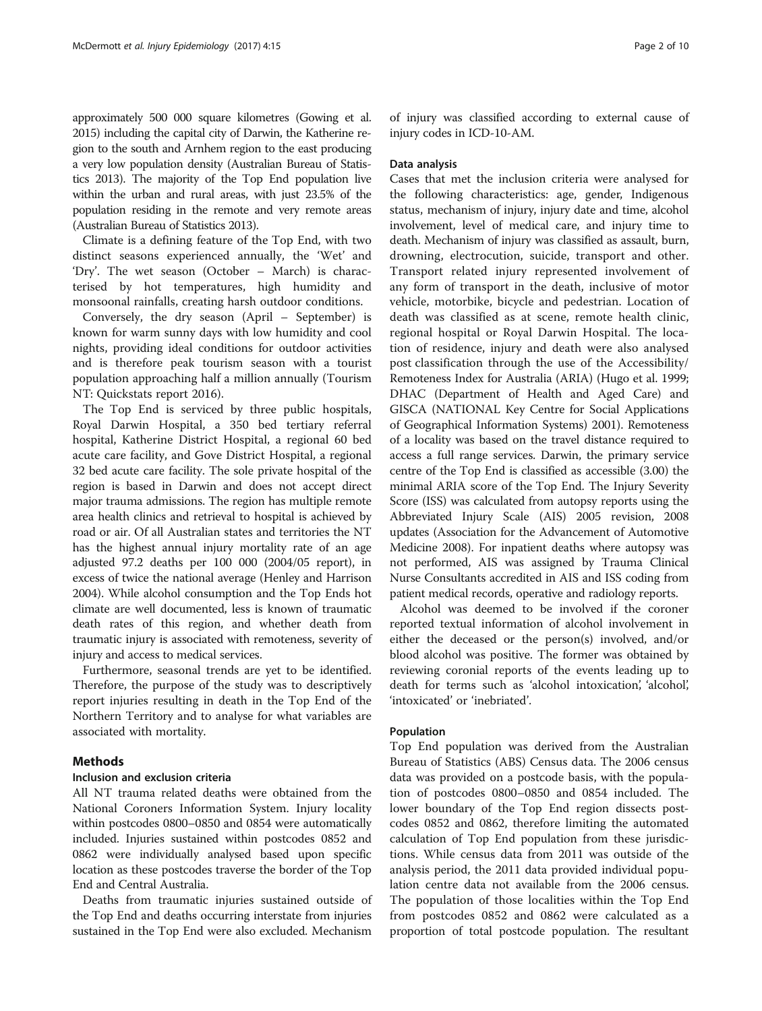approximately 500 000 square kilometres (Gowing et al. [2015](#page-9-0)) including the capital city of Darwin, the Katherine region to the south and Arnhem region to the east producing a very low population density (Australian Bureau of Statistics [2013](#page-8-0)). The majority of the Top End population live within the urban and rural areas, with just 23.5% of the population residing in the remote and very remote areas (Australian Bureau of Statistics [2013](#page-8-0)).

Climate is a defining feature of the Top End, with two distinct seasons experienced annually, the 'Wet' and 'Dry'. The wet season (October – March) is characterised by hot temperatures, high humidity and monsoonal rainfalls, creating harsh outdoor conditions.

Conversely, the dry season (April – September) is known for warm sunny days with low humidity and cool nights, providing ideal conditions for outdoor activities and is therefore peak tourism season with a tourist population approaching half a million annually (Tourism NT: Quickstats report [2016\)](#page-9-0).

The Top End is serviced by three public hospitals, Royal Darwin Hospital, a 350 bed tertiary referral hospital, Katherine District Hospital, a regional 60 bed acute care facility, and Gove District Hospital, a regional 32 bed acute care facility. The sole private hospital of the region is based in Darwin and does not accept direct major trauma admissions. The region has multiple remote area health clinics and retrieval to hospital is achieved by road or air. Of all Australian states and territories the NT has the highest annual injury mortality rate of an age adjusted 97.2 deaths per 100 000 (2004/05 report), in excess of twice the national average (Henley and Harrison [2004\)](#page-9-0). While alcohol consumption and the Top Ends hot climate are well documented, less is known of traumatic death rates of this region, and whether death from traumatic injury is associated with remoteness, severity of injury and access to medical services.

Furthermore, seasonal trends are yet to be identified. Therefore, the purpose of the study was to descriptively report injuries resulting in death in the Top End of the Northern Territory and to analyse for what variables are associated with mortality.

# Methods

### Inclusion and exclusion criteria

All NT trauma related deaths were obtained from the National Coroners Information System. Injury locality within postcodes 0800–0850 and 0854 were automatically included. Injuries sustained within postcodes 0852 and 0862 were individually analysed based upon specific location as these postcodes traverse the border of the Top End and Central Australia.

Deaths from traumatic injuries sustained outside of the Top End and deaths occurring interstate from injuries sustained in the Top End were also excluded. Mechanism of injury was classified according to external cause of injury codes in ICD-10-AM.

#### Data analysis

Cases that met the inclusion criteria were analysed for the following characteristics: age, gender, Indigenous status, mechanism of injury, injury date and time, alcohol involvement, level of medical care, and injury time to death. Mechanism of injury was classified as assault, burn, drowning, electrocution, suicide, transport and other. Transport related injury represented involvement of any form of transport in the death, inclusive of motor vehicle, motorbike, bicycle and pedestrian. Location of death was classified as at scene, remote health clinic, regional hospital or Royal Darwin Hospital. The location of residence, injury and death were also analysed post classification through the use of the Accessibility/ Remoteness Index for Australia (ARIA) (Hugo et al. [1999](#page-9-0); DHAC (Department of Health and Aged Care) and GISCA (NATIONAL Key Centre for Social Applications of Geographical Information Systems) [2001](#page-9-0)). Remoteness of a locality was based on the travel distance required to access a full range services. Darwin, the primary service centre of the Top End is classified as accessible (3.00) the minimal ARIA score of the Top End. The Injury Severity Score (ISS) was calculated from autopsy reports using the Abbreviated Injury Scale (AIS) 2005 revision, 2008 updates (Association for the Advancement of Automotive Medicine [2008](#page-8-0)). For inpatient deaths where autopsy was not performed, AIS was assigned by Trauma Clinical Nurse Consultants accredited in AIS and ISS coding from patient medical records, operative and radiology reports.

Alcohol was deemed to be involved if the coroner reported textual information of alcohol involvement in either the deceased or the person(s) involved, and/or blood alcohol was positive. The former was obtained by reviewing coronial reports of the events leading up to death for terms such as 'alcohol intoxication', 'alcohol', 'intoxicated' or 'inebriated'.

#### Population

Top End population was derived from the Australian Bureau of Statistics (ABS) Census data. The 2006 census data was provided on a postcode basis, with the population of postcodes 0800–0850 and 0854 included. The lower boundary of the Top End region dissects postcodes 0852 and 0862, therefore limiting the automated calculation of Top End population from these jurisdictions. While census data from 2011 was outside of the analysis period, the 2011 data provided individual population centre data not available from the 2006 census. The population of those localities within the Top End from postcodes 0852 and 0862 were calculated as a proportion of total postcode population. The resultant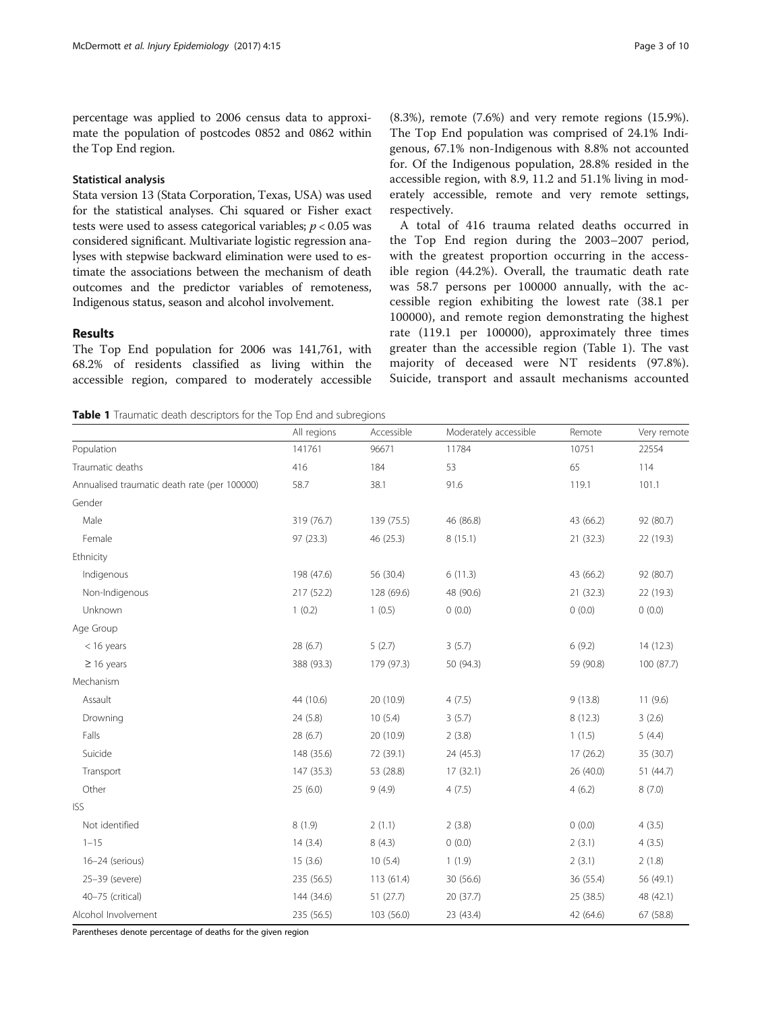percentage was applied to 2006 census data to approximate the population of postcodes 0852 and 0862 within the Top End region.

## Statistical analysis

Stata version 13 (Stata Corporation, Texas, USA) was used for the statistical analyses. Chi squared or Fisher exact tests were used to assess categorical variables;  $p < 0.05$  was considered significant. Multivariate logistic regression analyses with stepwise backward elimination were used to estimate the associations between the mechanism of death outcomes and the predictor variables of remoteness, Indigenous status, season and alcohol involvement.

# Results

The Top End population for 2006 was 141,761, with 68.2% of residents classified as living within the accessible region, compared to moderately accessible (8.3%), remote (7.6%) and very remote regions (15.9%). The Top End population was comprised of 24.1% Indigenous, 67.1% non-Indigenous with 8.8% not accounted for. Of the Indigenous population, 28.8% resided in the accessible region, with 8.9, 11.2 and 51.1% living in moderately accessible, remote and very remote settings, respectively.

A total of 416 trauma related deaths occurred in the Top End region during the 2003–2007 period, with the greatest proportion occurring in the accessible region (44.2%). Overall, the traumatic death rate was 58.7 persons per 100000 annually, with the accessible region exhibiting the lowest rate (38.1 per 100000), and remote region demonstrating the highest rate (119.1 per 100000), approximately three times greater than the accessible region (Table 1). The vast majority of deceased were NT residents (97.8%). Suicide, transport and assault mechanisms accounted

**Table 1** Traumatic death descriptors for the Top End and subregions

|                                              | All regions | Accessible | Moderately accessible | Remote    | Very remote |
|----------------------------------------------|-------------|------------|-----------------------|-----------|-------------|
| Population                                   | 141761      | 96671      | 11784                 | 10751     | 22554       |
| Traumatic deaths                             | 416         | 184        | 53                    | 65        | 114         |
| Annualised traumatic death rate (per 100000) | 58.7        | 38.1       | 91.6                  | 119.1     | 101.1       |
| Gender                                       |             |            |                       |           |             |
| Male                                         | 319 (76.7)  | 139 (75.5) | 46 (86.8)             | 43 (66.2) | 92 (80.7)   |
| Female                                       | 97 (23.3)   | 46 (25.3)  | 8(15.1)               | 21(32.3)  | 22 (19.3)   |
| Ethnicity                                    |             |            |                       |           |             |
| Indigenous                                   | 198 (47.6)  | 56 (30.4)  | 6(11.3)               | 43 (66.2) | 92 (80.7)   |
| Non-Indigenous                               | 217 (52.2)  | 128 (69.6) | 48 (90.6)             | 21(32.3)  | 22 (19.3)   |
| Unknown                                      | 1(0.2)      | 1(0.5)     | 0(0.0)                | 0(0.0)    | 0(0.0)      |
| Age Group                                    |             |            |                       |           |             |
| $<$ 16 years                                 | 28 (6.7)    | 5(2.7)     | 3(5.7)                | 6(9.2)    | 14(12.3)    |
| $\geq$ 16 years                              | 388 (93.3)  | 179 (97.3) | 50 (94.3)             | 59 (90.8) | 100 (87.7)  |
| Mechanism                                    |             |            |                       |           |             |
| Assault                                      | 44 (10.6)   | 20 (10.9)  | 4(7.5)                | 9(13.8)   | 11(9.6)     |
| Drowning                                     | 24 (5.8)    | 10(5.4)    | 3(5.7)                | 8(12.3)   | 3(2.6)      |
| Falls                                        | 28 (6.7)    | 20 (10.9)  | 2(3.8)                | 1(1.5)    | 5(4.4)      |
| Suicide                                      | 148 (35.6)  | 72 (39.1)  | 24 (45.3)             | 17(26.2)  | 35 (30.7)   |
| Transport                                    | 147 (35.3)  | 53 (28.8)  | 17(32.1)              | 26 (40.0) | 51 (44.7)   |
| Other                                        | 25(6.0)     | 9(4.9)     | 4(7.5)                | 4(6.2)    | 8(7.0)      |
| <b>ISS</b>                                   |             |            |                       |           |             |
| Not identified                               | 8(1.9)      | 2(1.1)     | 2(3.8)                | 0(0.0)    | 4(3.5)      |
| $1 - 15$                                     | 14(3.4)     | 8(4.3)     | 0(0.0)                | 2(3.1)    | 4(3.5)      |
| 16-24 (serious)                              | 15(3.6)     | 10(5.4)    | 1(1.9)                | 2(3.1)    | 2(1.8)      |
| 25-39 (severe)                               | 235 (56.5)  | 113(61.4)  | 30 (56.6)             | 36 (55.4) | 56 (49.1)   |
| 40-75 (critical)                             | 144 (34.6)  | 51(27.7)   | 20 (37.7)             | 25 (38.5) | 48 (42.1)   |
| Alcohol Involvement                          | 235 (56.5)  | 103 (56.0) | 23 (43.4)             | 42 (64.6) | 67 (58.8)   |

Parentheses denote percentage of deaths for the given region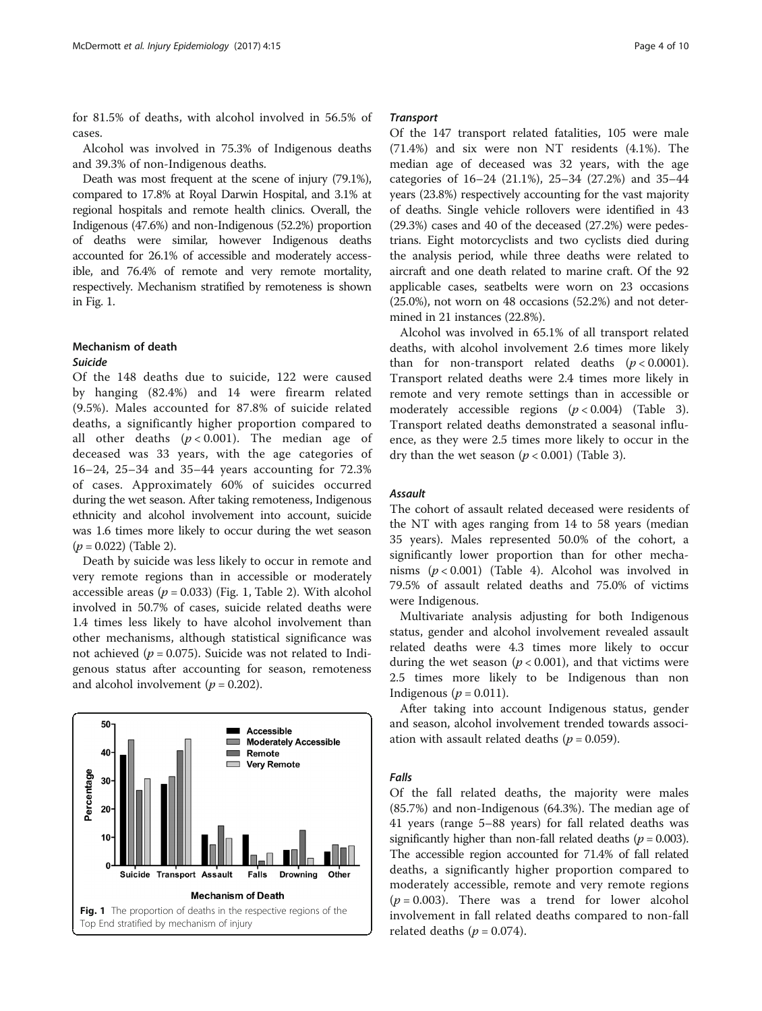for 81.5% of deaths, with alcohol involved in 56.5% of cases.

Alcohol was involved in 75.3% of Indigenous deaths and 39.3% of non-Indigenous deaths.

Death was most frequent at the scene of injury (79.1%), compared to 17.8% at Royal Darwin Hospital, and 3.1% at regional hospitals and remote health clinics. Overall, the Indigenous (47.6%) and non-Indigenous (52.2%) proportion of deaths were similar, however Indigenous deaths accounted for 26.1% of accessible and moderately accessible, and 76.4% of remote and very remote mortality, respectively. Mechanism stratified by remoteness is shown in Fig. 1.

# Mechanism of death

# Suicide

Of the 148 deaths due to suicide, 122 were caused by hanging (82.4%) and 14 were firearm related (9.5%). Males accounted for 87.8% of suicide related deaths, a significantly higher proportion compared to all other deaths  $(p < 0.001)$ . The median age of deceased was 33 years, with the age categories of 16–24, 25–34 and 35–44 years accounting for 72.3% of cases. Approximately 60% of suicides occurred during the wet season. After taking remoteness, Indigenous ethnicity and alcohol involvement into account, suicide was 1.6 times more likely to occur during the wet season  $(p = 0.022)$  (Table [2\)](#page-4-0).

Death by suicide was less likely to occur in remote and very remote regions than in accessible or moderately accessible areas ( $p = 0.033$ ) (Fig. 1, Table [2\)](#page-4-0). With alcohol involved in 50.7% of cases, suicide related deaths were 1.4 times less likely to have alcohol involvement than other mechanisms, although statistical significance was not achieved ( $p = 0.075$ ). Suicide was not related to Indigenous status after accounting for season, remoteness and alcohol involvement ( $p = 0.202$ ).



#### **Transport**

Of the 147 transport related fatalities, 105 were male (71.4%) and six were non NT residents (4.1%). The median age of deceased was 32 years, with the age categories of 16–24 (21.1%), 25–34 (27.2%) and 35–44 years (23.8%) respectively accounting for the vast majority of deaths. Single vehicle rollovers were identified in 43 (29.3%) cases and 40 of the deceased (27.2%) were pedestrians. Eight motorcyclists and two cyclists died during the analysis period, while three deaths were related to aircraft and one death related to marine craft. Of the 92 applicable cases, seatbelts were worn on 23 occasions (25.0%), not worn on 48 occasions (52.2%) and not determined in 21 instances (22.8%).

Alcohol was involved in 65.1% of all transport related deaths, with alcohol involvement 2.6 times more likely than for non-transport related deaths  $(p < 0.0001)$ . Transport related deaths were 2.4 times more likely in remote and very remote settings than in accessible or moderately accessible regions  $(p < 0.004)$  (Table [3](#page-4-0)). Transport related deaths demonstrated a seasonal influence, as they were 2.5 times more likely to occur in the dry than the wet season ( $p < 0.001$ ) (Table [3](#page-4-0)).

## Assault

The cohort of assault related deceased were residents of the NT with ages ranging from 14 to 58 years (median 35 years). Males represented 50.0% of the cohort, a significantly lower proportion than for other mechanisms  $(p < 0.001)$  (Table [4](#page-5-0)). Alcohol was involved in 79.5% of assault related deaths and 75.0% of victims were Indigenous.

Multivariate analysis adjusting for both Indigenous status, gender and alcohol involvement revealed assault related deaths were 4.3 times more likely to occur during the wet season ( $p < 0.001$ ), and that victims were 2.5 times more likely to be Indigenous than non Indigenous ( $p = 0.011$ ).

After taking into account Indigenous status, gender and season, alcohol involvement trended towards association with assault related deaths ( $p = 0.059$ ).

#### Falls

Of the fall related deaths, the majority were males (85.7%) and non-Indigenous (64.3%). The median age of 41 years (range 5–88 years) for fall related deaths was significantly higher than non-fall related deaths ( $p = 0.003$ ). The accessible region accounted for 71.4% of fall related deaths, a significantly higher proportion compared to moderately accessible, remote and very remote regions  $(p = 0.003)$ . There was a trend for lower alcohol involvement in fall related deaths compared to non-fall related deaths ( $p = 0.074$ ).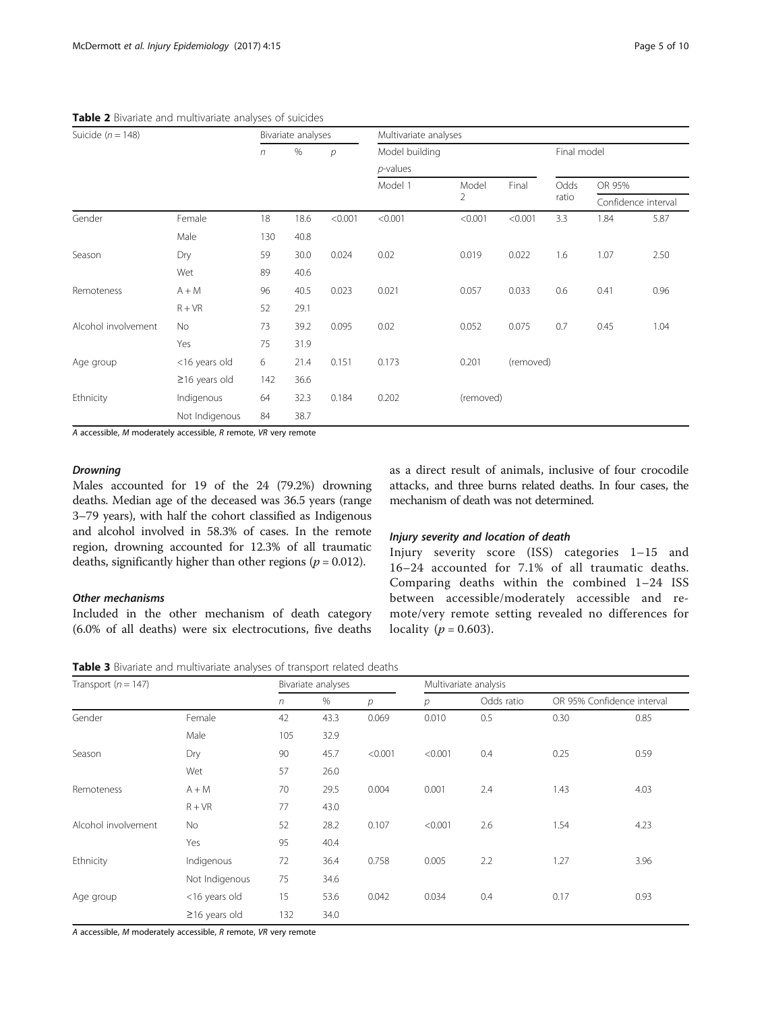| Suicide ( $n = 148$ ) |                     | Bivariate analyses |      |                | Multivariate analyses |           |           |             |                     |      |
|-----------------------|---------------------|--------------------|------|----------------|-----------------------|-----------|-----------|-------------|---------------------|------|
|                       |                     | n                  | $\%$ | $\overline{p}$ | Model building        |           |           | Final model |                     |      |
|                       |                     |                    |      |                | $p$ -values           |           |           |             |                     |      |
|                       |                     |                    |      |                | Model 1               | Model     | Final     | Odds        | OR 95%              |      |
|                       |                     |                    |      |                |                       | 2         |           | ratio       | Confidence interval |      |
| Gender                | Female              | 18                 | 18.6 | < 0.001        | < 0.001               | < 0.001   | < 0.001   | 3.3         | 1.84                | 5.87 |
|                       | Male                | 130                | 40.8 |                |                       |           |           |             |                     |      |
| Season                | Dry                 | 59                 | 30.0 | 0.024          | 0.02                  | 0.019     | 0.022     | 1.6         | 1.07                | 2.50 |
|                       | Wet                 | 89                 | 40.6 |                |                       |           |           |             |                     |      |
| Remoteness            | $A + M$             | 96                 | 40.5 | 0.023          | 0.021                 | 0.057     | 0.033     | 0.6         | 0.41                | 0.96 |
|                       | $R + VR$            | 52                 | 29.1 |                |                       |           |           |             |                     |      |
| Alcohol involvement   | <b>No</b>           | 73                 | 39.2 | 0.095          | 0.02                  | 0.052     | 0.075     | 0.7         | 0.45                | 1.04 |
|                       | Yes                 | 75                 | 31.9 |                |                       |           |           |             |                     |      |
| Age group             | <16 years old       | 6                  | 21.4 | 0.151          | 0.173                 | 0.201     | (removed) |             |                     |      |
|                       | $\geq$ 16 years old | 142                | 36.6 |                |                       |           |           |             |                     |      |
| Ethnicity             | Indigenous          | 64                 | 32.3 | 0.184          | 0.202                 | (removed) |           |             |                     |      |
|                       | Not Indigenous      | 84                 | 38.7 |                |                       |           |           |             |                     |      |

<span id="page-4-0"></span>Table 2 Bivariate and multivariate analyses of suicides

A accessible, M moderately accessible, R remote, VR very remote

## **Drowning**

Males accounted for 19 of the 24 (79.2%) drowning deaths. Median age of the deceased was 36.5 years (range 3–79 years), with half the cohort classified as Indigenous and alcohol involved in 58.3% of cases. In the remote region, drowning accounted for 12.3% of all traumatic deaths, significantly higher than other regions ( $p = 0.012$ ).

# Other mechanisms

Included in the other mechanism of death category (6.0% of all deaths) were six electrocutions, five deaths as a direct result of animals, inclusive of four crocodile attacks, and three burns related deaths. In four cases, the mechanism of death was not determined.

# Injury severity and location of death

Injury severity score (ISS) categories 1–15 and 16–24 accounted for 7.1% of all traumatic deaths. Comparing deaths within the combined 1–24 ISS between accessible/moderately accessible and remote/very remote setting revealed no differences for locality ( $p = 0.603$ ).

Table 3 Bivariate and multivariate analyses of transport related deaths

| Transport ( $n = 147$ ) |                     |     | Bivariate analyses |         |         | Multivariate analysis |                            |      |  |  |
|-------------------------|---------------------|-----|--------------------|---------|---------|-----------------------|----------------------------|------|--|--|
|                         |                     | n   | $\%$<br>р          |         | р       | Odds ratio            | OR 95% Confidence interval |      |  |  |
| Gender                  | Female              | 42  | 43.3               | 0.069   | 0.010   | 0.5                   | 0.30                       | 0.85 |  |  |
|                         | Male                | 105 | 32.9               |         |         |                       |                            |      |  |  |
| Season                  | Dry                 | 90  | 45.7               | < 0.001 | < 0.001 | 0.4                   | 0.25                       | 0.59 |  |  |
|                         | Wet                 | 57  | 26.0               |         |         |                       |                            |      |  |  |
| Remoteness              | $A + M$             | 70  | 29.5               | 0.004   | 0.001   | 2.4                   | 1.43                       | 4.03 |  |  |
|                         | $R + VR$            | 77  | 43.0               |         |         |                       |                            |      |  |  |
| Alcohol involvement     | No                  | 52  | 28.2               | 0.107   | < 0.001 | 2.6                   | 1.54                       | 4.23 |  |  |
|                         | Yes                 | 95  | 40.4               |         |         |                       |                            |      |  |  |
| Ethnicity               | Indigenous          | 72  | 36.4               | 0.758   | 0.005   | 2.2                   | 1.27                       | 3.96 |  |  |
|                         | Not Indigenous      | 75  | 34.6               |         |         |                       |                            |      |  |  |
| Age group               | <16 years old       | 15  | 53.6               | 0.042   | 0.034   | 0.4                   | 0.17                       | 0.93 |  |  |
|                         | $\geq$ 16 years old | 132 | 34.0               |         |         |                       |                            |      |  |  |

A accessible, M moderately accessible, R remote, VR very remote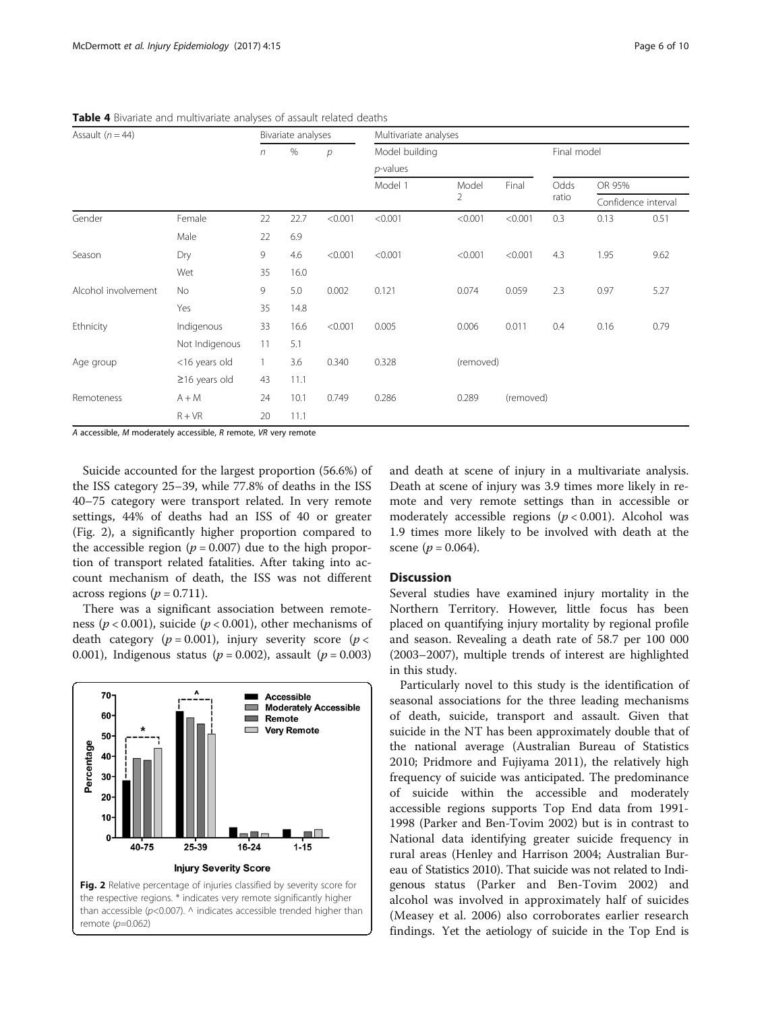| Assault $(n = 44)$  |                     | Bivariate analyses |      |         | Multivariate analyses |                         |           |               |                               |      |
|---------------------|---------------------|--------------------|------|---------|-----------------------|-------------------------|-----------|---------------|-------------------------------|------|
|                     |                     | n                  | %    | p       | Model building        |                         |           | Final model   |                               |      |
|                     |                     |                    |      |         | $p$ -values           |                         |           |               |                               |      |
|                     |                     |                    |      |         | Model 1               | Model<br>$\overline{2}$ | Final     | Odds<br>ratio | OR 95%<br>Confidence interval |      |
|                     |                     |                    |      |         |                       |                         |           |               |                               |      |
| Gender              | Female              | 22                 | 22.7 | < 0.001 | < 0.001               | < 0.001                 | < 0.001   | 0.3           | 0.13                          | 0.51 |
|                     | Male                | 22                 | 6.9  |         |                       |                         |           |               |                               |      |
| Season              | Dry                 | 9                  | 4.6  | < 0.001 | < 0.001               | < 0.001                 | < 0.001   | 4.3           | 1.95                          | 9.62 |
|                     | Wet                 | 35                 | 16.0 |         |                       |                         |           |               |                               |      |
| Alcohol involvement | No                  | 9                  | 5.0  | 0.002   | 0.121                 | 0.074                   | 0.059     | 2.3           | 0.97                          | 5.27 |
|                     | Yes                 | 35                 | 14.8 |         |                       |                         |           |               |                               |      |
| Ethnicity           | Indigenous          | 33                 | 16.6 | < 0.001 | 0.005                 | 0.006                   | 0.011     | 0.4           | 0.16                          | 0.79 |
|                     | Not Indigenous      | 11                 | 5.1  |         |                       |                         |           |               |                               |      |
| Age group           | <16 years old       | $\mathbf{1}$       | 3.6  | 0.340   | 0.328                 | (removed)               |           |               |                               |      |
|                     | $\geq$ 16 years old | 43                 | 11.1 |         |                       |                         |           |               |                               |      |
| Remoteness          | $A + M$             | 24                 | 10.1 | 0.749   | 0.286                 | 0.289                   | (removed) |               |                               |      |
|                     | $R + VR$            | 20                 | 11.1 |         |                       |                         |           |               |                               |      |

<span id="page-5-0"></span>Table 4 Bivariate and multivariate analyses of assault related deaths

A accessible, M moderately accessible, R remote, VR very remote

Suicide accounted for the largest proportion (56.6%) of the ISS category 25–39, while 77.8% of deaths in the ISS 40–75 category were transport related. In very remote settings, 44% of deaths had an ISS of 40 or greater (Fig. 2), a significantly higher proportion compared to the accessible region ( $p = 0.007$ ) due to the high proportion of transport related fatalities. After taking into account mechanism of death, the ISS was not different across regions ( $p = 0.711$ ).

There was a significant association between remoteness ( $p < 0.001$ ), suicide ( $p < 0.001$ ), other mechanisms of death category ( $p = 0.001$ ), injury severity score ( $p <$ 0.001), Indigenous status ( $p = 0.002$ ), assault ( $p = 0.003$ )



and death at scene of injury in a multivariate analysis. Death at scene of injury was 3.9 times more likely in remote and very remote settings than in accessible or moderately accessible regions  $(p < 0.001)$ . Alcohol was 1.9 times more likely to be involved with death at the scene ( $p = 0.064$ ).

# Discussion

Several studies have examined injury mortality in the Northern Territory. However, little focus has been placed on quantifying injury mortality by regional profile and season. Revealing a death rate of 58.7 per 100 000 (2003–2007), multiple trends of interest are highlighted in this study.

Particularly novel to this study is the identification of seasonal associations for the three leading mechanisms of death, suicide, transport and assault. Given that suicide in the NT has been approximately double that of the national average (Australian Bureau of Statistics [2010](#page-8-0); Pridmore and Fujiyama [2011](#page-9-0)), the relatively high frequency of suicide was anticipated. The predominance of suicide within the accessible and moderately accessible regions supports Top End data from 1991- 1998 (Parker and Ben-Tovim [2002](#page-9-0)) but is in contrast to National data identifying greater suicide frequency in rural areas (Henley and Harrison [2004;](#page-9-0) Australian Bureau of Statistics [2010](#page-8-0)). That suicide was not related to Indigenous status (Parker and Ben-Tovim [2002](#page-9-0)) and alcohol was involved in approximately half of suicides (Measey et al. [2006\)](#page-9-0) also corroborates earlier research findings. Yet the aetiology of suicide in the Top End is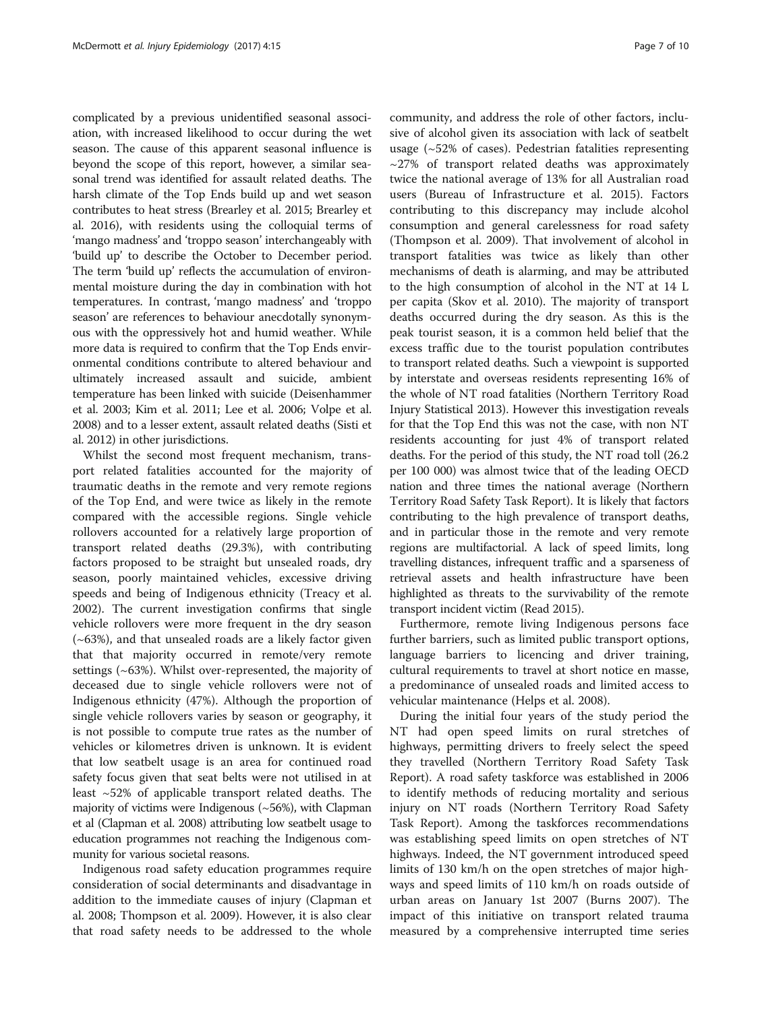complicated by a previous unidentified seasonal association, with increased likelihood to occur during the wet season. The cause of this apparent seasonal influence is beyond the scope of this report, however, a similar seasonal trend was identified for assault related deaths. The harsh climate of the Top Ends build up and wet season contributes to heat stress (Brearley et al. [2015](#page-8-0); Brearley et al. [2016](#page-8-0)), with residents using the colloquial terms of 'mango madness' and 'troppo season' interchangeably with 'build up' to describe the October to December period. The term 'build up' reflects the accumulation of environmental moisture during the day in combination with hot temperatures. In contrast, 'mango madness' and 'troppo season' are references to behaviour anecdotally synonymous with the oppressively hot and humid weather. While more data is required to confirm that the Top Ends environmental conditions contribute to altered behaviour and ultimately increased assault and suicide, ambient temperature has been linked with suicide (Deisenhammer et al. [2003;](#page-9-0) Kim et al. [2011;](#page-9-0) Lee et al. [2006;](#page-9-0) Volpe et al. [2008\)](#page-9-0) and to a lesser extent, assault related deaths (Sisti et al. [2012](#page-9-0)) in other jurisdictions.

Whilst the second most frequent mechanism, transport related fatalities accounted for the majority of traumatic deaths in the remote and very remote regions of the Top End, and were twice as likely in the remote compared with the accessible regions. Single vehicle rollovers accounted for a relatively large proportion of transport related deaths (29.3%), with contributing factors proposed to be straight but unsealed roads, dry season, poorly maintained vehicles, excessive driving speeds and being of Indigenous ethnicity (Treacy et al. [2002](#page-9-0)). The current investigation confirms that single vehicle rollovers were more frequent in the dry season (~63%), and that unsealed roads are a likely factor given that that majority occurred in remote/very remote settings (~63%). Whilst over-represented, the majority of deceased due to single vehicle rollovers were not of Indigenous ethnicity (47%). Although the proportion of single vehicle rollovers varies by season or geography, it is not possible to compute true rates as the number of vehicles or kilometres driven is unknown. It is evident that low seatbelt usage is an area for continued road safety focus given that seat belts were not utilised in at least ~52% of applicable transport related deaths. The majority of victims were Indigenous  $(\sim 56\%)$ , with Clapman et al (Clapman et al. [2008](#page-9-0)) attributing low seatbelt usage to education programmes not reaching the Indigenous community for various societal reasons.

Indigenous road safety education programmes require consideration of social determinants and disadvantage in addition to the immediate causes of injury (Clapman et al. [2008;](#page-9-0) Thompson et al. [2009](#page-9-0)). However, it is also clear that road safety needs to be addressed to the whole

community, and address the role of other factors, inclusive of alcohol given its association with lack of seatbelt usage (~52% of cases). Pedestrian fatalities representing  $\sim$ 27% of transport related deaths was approximately twice the national average of 13% for all Australian road users (Bureau of Infrastructure et al. [2015](#page-9-0)). Factors contributing to this discrepancy may include alcohol consumption and general carelessness for road safety (Thompson et al. [2009\)](#page-9-0). That involvement of alcohol in transport fatalities was twice as likely than other mechanisms of death is alarming, and may be attributed to the high consumption of alcohol in the NT at 14 L per capita (Skov et al. [2010](#page-9-0)). The majority of transport deaths occurred during the dry season. As this is the peak tourist season, it is a common held belief that the excess traffic due to the tourist population contributes to transport related deaths. Such a viewpoint is supported by interstate and overseas residents representing 16% of the whole of NT road fatalities (Northern Territory Road Injury Statistical [2013](#page-9-0)). However this investigation reveals for that the Top End this was not the case, with non NT residents accounting for just 4% of transport related deaths. For the period of this study, the NT road toll (26.2 per 100 000) was almost twice that of the leading OECD nation and three times the national average [\(Northern](#page-9-0) [Territory Road Safety Task Report\)](#page-9-0). It is likely that factors contributing to the high prevalence of transport deaths, and in particular those in the remote and very remote regions are multifactorial. A lack of speed limits, long travelling distances, infrequent traffic and a sparseness of retrieval assets and health infrastructure have been highlighted as threats to the survivability of the remote transport incident victim (Read [2015](#page-9-0)).

Furthermore, remote living Indigenous persons face further barriers, such as limited public transport options, language barriers to licencing and driver training, cultural requirements to travel at short notice en masse, a predominance of unsealed roads and limited access to vehicular maintenance (Helps et al. [2008\)](#page-9-0).

During the initial four years of the study period the NT had open speed limits on rural stretches of highways, permitting drivers to freely select the speed they travelled [\(Northern Territory Road Safety Task](#page-9-0) [Report](#page-9-0)). A road safety taskforce was established in 2006 to identify methods of reducing mortality and serious injury on NT roads [\(Northern Territory Road Safety](#page-9-0) [Task Report](#page-9-0)). Among the taskforces recommendations was establishing speed limits on open stretches of NT highways. Indeed, the NT government introduced speed limits of 130 km/h on the open stretches of major highways and speed limits of 110 km/h on roads outside of urban areas on January 1st 2007 (Burns [2007](#page-9-0)). The impact of this initiative on transport related trauma measured by a comprehensive interrupted time series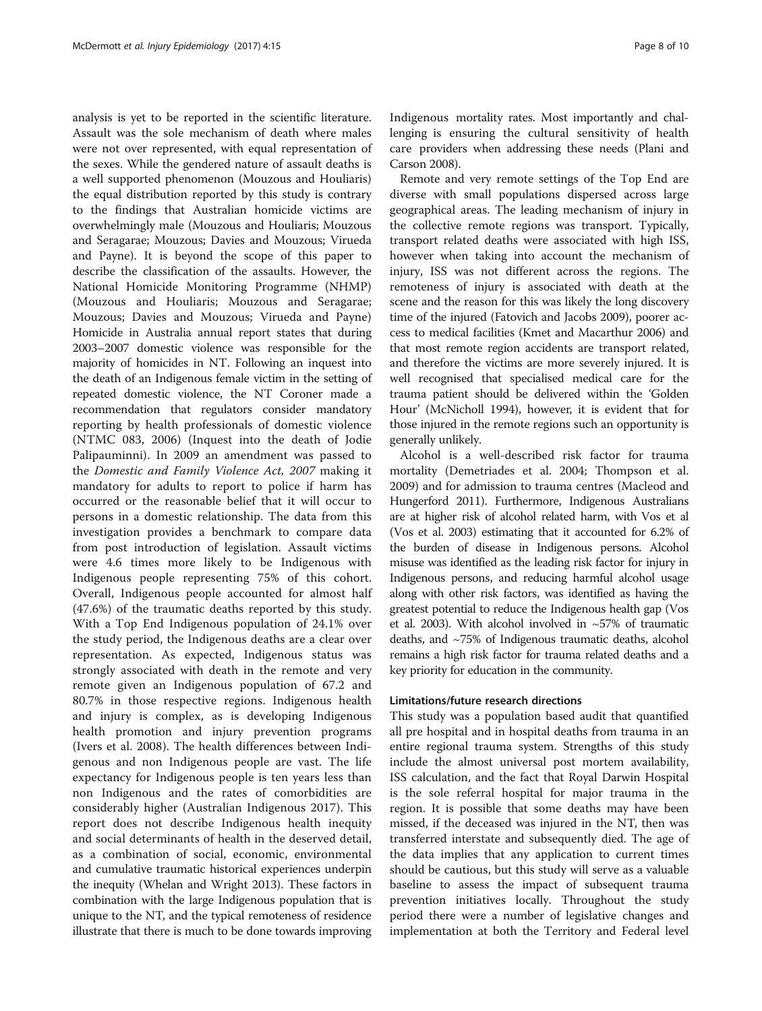analysis is yet to be reported in the scientific literature. Assault was the sole mechanism of death where males were not over represented, with equal representation of the sexes. While the gendered nature of assault deaths is a well supported phenomenon ([Mouzous and Houliaris](#page-9-0)) the equal distribution reported by this study is contrary to the findings that Australian homicide victims are overwhelmingly male [\(Mouzous and Houliaris](#page-9-0); [Mouzous](#page-9-0) [and Seragarae; Mouzous; Davies and Mouzous](#page-9-0); [Virueda](#page-9-0) [and Payne\)](#page-9-0). It is beyond the scope of this paper to describe the classification of the assaults. However, the National Homicide Monitoring Programme (NHMP) ([Mouzous and Houliaris](#page-9-0); [Mouzous and Seragarae](#page-9-0); [Mouzous](#page-9-0); [Davies and Mouzous; Virueda and Payne](#page-9-0)) Homicide in Australia annual report states that during 2003–2007 domestic violence was responsible for the majority of homicides in NT. Following an inquest into the death of an Indigenous female victim in the setting of repeated domestic violence, the NT Coroner made a recommendation that regulators consider mandatory reporting by health professionals of domestic violence (NTMC 083, 2006) [\(Inquest into the death of Jodie](#page-9-0) [Palipauminni\)](#page-9-0). In 2009 an amendment was passed to the Domestic and Family Violence Act, 2007 making it mandatory for adults to report to police if harm has occurred or the reasonable belief that it will occur to persons in a domestic relationship. The data from this investigation provides a benchmark to compare data from post introduction of legislation. Assault victims were 4.6 times more likely to be Indigenous with Indigenous people representing 75% of this cohort. Overall, Indigenous people accounted for almost half (47.6%) of the traumatic deaths reported by this study. With a Top End Indigenous population of 24.1% over the study period, the Indigenous deaths are a clear over representation. As expected, Indigenous status was strongly associated with death in the remote and very remote given an Indigenous population of 67.2 and 80.7% in those respective regions. Indigenous health and injury is complex, as is developing Indigenous health promotion and injury prevention programs (Ivers et al. [2008\)](#page-9-0). The health differences between Indigenous and non Indigenous people are vast. The life expectancy for Indigenous people is ten years less than non Indigenous and the rates of comorbidities are considerably higher (Australian Indigenous [2017\)](#page-8-0). This report does not describe Indigenous health inequity and social determinants of health in the deserved detail, as a combination of social, economic, environmental and cumulative traumatic historical experiences underpin the inequity (Whelan and Wright [2013](#page-9-0)). These factors in combination with the large Indigenous population that is unique to the NT, and the typical remoteness of residence illustrate that there is much to be done towards improving Indigenous mortality rates. Most importantly and challenging is ensuring the cultural sensitivity of health care providers when addressing these needs (Plani and Carson [2008](#page-9-0)).

Remote and very remote settings of the Top End are diverse with small populations dispersed across large geographical areas. The leading mechanism of injury in the collective remote regions was transport. Typically, transport related deaths were associated with high ISS, however when taking into account the mechanism of injury, ISS was not different across the regions. The remoteness of injury is associated with death at the scene and the reason for this was likely the long discovery time of the injured (Fatovich and Jacobs [2009\)](#page-9-0), poorer access to medical facilities (Kmet and Macarthur [2006](#page-9-0)) and that most remote region accidents are transport related, and therefore the victims are more severely injured. It is well recognised that specialised medical care for the trauma patient should be delivered within the 'Golden Hour' (McNicholl [1994](#page-9-0)), however, it is evident that for those injured in the remote regions such an opportunity is generally unlikely.

Alcohol is a well-described risk factor for trauma mortality (Demetriades et al. [2004;](#page-9-0) Thompson et al. [2009](#page-9-0)) and for admission to trauma centres (Macleod and Hungerford [2011\)](#page-9-0). Furthermore, Indigenous Australians are at higher risk of alcohol related harm, with Vos et al (Vos et al. [2003\)](#page-9-0) estimating that it accounted for 6.2% of the burden of disease in Indigenous persons. Alcohol misuse was identified as the leading risk factor for injury in Indigenous persons, and reducing harmful alcohol usage along with other risk factors, was identified as having the greatest potential to reduce the Indigenous health gap (Vos et al. [2003\)](#page-9-0). With alcohol involved in ~57% of traumatic deaths, and ~75% of Indigenous traumatic deaths, alcohol remains a high risk factor for trauma related deaths and a key priority for education in the community.

#### Limitations/future research directions

This study was a population based audit that quantified all pre hospital and in hospital deaths from trauma in an entire regional trauma system. Strengths of this study include the almost universal post mortem availability, ISS calculation, and the fact that Royal Darwin Hospital is the sole referral hospital for major trauma in the region. It is possible that some deaths may have been missed, if the deceased was injured in the NT, then was transferred interstate and subsequently died. The age of the data implies that any application to current times should be cautious, but this study will serve as a valuable baseline to assess the impact of subsequent trauma prevention initiatives locally. Throughout the study period there were a number of legislative changes and implementation at both the Territory and Federal level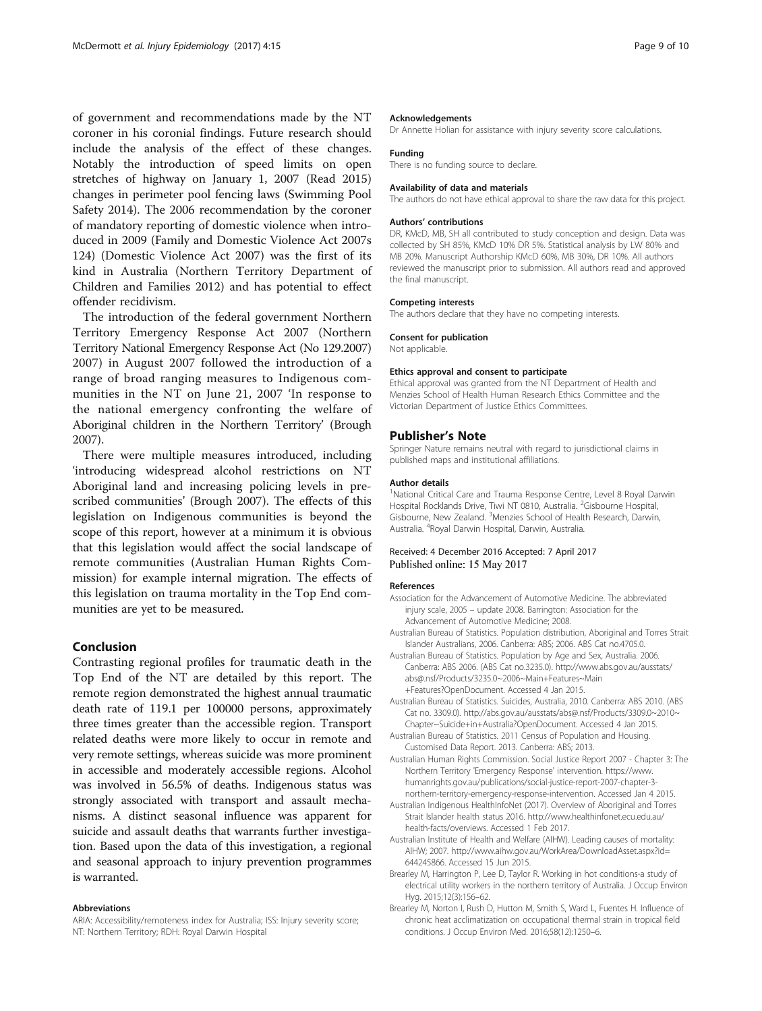<span id="page-8-0"></span>of government and recommendations made by the NT coroner in his coronial findings. Future research should include the analysis of the effect of these changes. Notably the introduction of speed limits on open stretches of highway on January 1, 2007 (Read [2015](#page-9-0)) changes in perimeter pool fencing laws (Swimming Pool Safety [2014](#page-9-0)). The 2006 recommendation by the coroner of mandatory reporting of domestic violence when introduced in 2009 (Family and Domestic Violence Act 2007s 124) (Domestic Violence Act [2007\)](#page-9-0) was the first of its kind in Australia (Northern Territory Department of Children and Families [2012](#page-9-0)) and has potential to effect offender recidivism.

The introduction of the federal government Northern Territory Emergency Response Act 2007 (Northern Territory National Emergency Response Act (No 129[.2007](#page-9-0)) 2007) in August 2007 followed the introduction of a range of broad ranging measures to Indigenous communities in the NT on June 21, 2007 'In response to the national emergency confronting the welfare of Aboriginal children in the Northern Territory' (Brough [2007\)](#page-9-0).

There were multiple measures introduced, including 'introducing widespread alcohol restrictions on NT Aboriginal land and increasing policing levels in prescribed communities' (Brough [2007\)](#page-9-0). The effects of this legislation on Indigenous communities is beyond the scope of this report, however at a minimum it is obvious that this legislation would affect the social landscape of remote communities (Australian Human Rights Commission) for example internal migration. The effects of this legislation on trauma mortality in the Top End communities are yet to be measured.

## Conclusion

Contrasting regional profiles for traumatic death in the Top End of the NT are detailed by this report. The remote region demonstrated the highest annual traumatic death rate of 119.1 per 100000 persons, approximately three times greater than the accessible region. Transport related deaths were more likely to occur in remote and very remote settings, whereas suicide was more prominent in accessible and moderately accessible regions. Alcohol was involved in 56.5% of deaths. Indigenous status was strongly associated with transport and assault mechanisms. A distinct seasonal influence was apparent for suicide and assault deaths that warrants further investigation. Based upon the data of this investigation, a regional and seasonal approach to injury prevention programmes is warranted.

#### Abbreviations

ARIA: Accessibility/remoteness index for Australia; ISS: Injury severity score; NT: Northern Territory; RDH: Royal Darwin Hospital

#### Acknowledgements

Dr Annette Holian for assistance with injury severity score calculations.

## Funding

There is no funding source to declare.

#### Availability of data and materials

The authors do not have ethical approval to share the raw data for this project.

#### Authors' contributions

DR, KMcD, MB, SH all contributed to study conception and design. Data was collected by SH 85%, KMcD 10% DR 5%. Statistical analysis by LW 80% and MB 20%. Manuscript Authorship KMcD 60%, MB 30%, DR 10%. All authors reviewed the manuscript prior to submission. All authors read and approved the final manuscript.

#### Competing interests

The authors declare that they have no competing interests.

#### Consent for publication

Not applicable.

#### Ethics approval and consent to participate

Ethical approval was granted from the NT Department of Health and Menzies School of Health Human Research Ethics Committee and the Victorian Department of Justice Ethics Committees.

#### Publisher's Note

Springer Nature remains neutral with regard to jurisdictional claims in published maps and institutional affiliations.

#### Author details

<sup>1</sup>National Critical Care and Trauma Response Centre, Level 8 Royal Darwin Hospital Rocklands Drive, Tiwi NT 0810, Australia. <sup>2</sup>Gisbourne Hospital Gisbourne, New Zealand. <sup>3</sup>Menzies School of Health Research, Darwin, Australia. <sup>4</sup> Royal Darwin Hospital, Darwin, Australia.

#### Received: 4 December 2016 Accepted: 7 April 2017 Published online: 15 May 2017

#### References

- Association for the Advancement of Automotive Medicine. The abbreviated injury scale, 2005 – update 2008. Barrington: Association for the Advancement of Automotive Medicine; 2008.
- Australian Bureau of Statistics. Population distribution, Aboriginal and Torres Strait Islander Australians, 2006. Canberra: ABS; 2006. ABS Cat no.4705.0.
- Australian Bureau of Statistics. Population by Age and Sex, Australia. 2006. Canberra: ABS 2006. (ABS Cat no.3235.0). [http://www.abs.gov.au/ausstats/](http://www.abs.gov.au/ausstats/abs@.nsf/Products/3235.0~2006~Main+Features~Main+Features?OpenDocument) [abs@.nsf/Products/3235.0~2006~Main+Features~Main](http://www.abs.gov.au/ausstats/abs@.nsf/Products/3235.0~2006~Main+Features~Main+Features?OpenDocument) [+Features?OpenDocument.](http://www.abs.gov.au/ausstats/abs@.nsf/Products/3235.0~2006~Main+Features~Main+Features?OpenDocument) Accessed 4 Jan 2015.
- Australian Bureau of Statistics. Suicides, Australia, 2010. Canberra: ABS 2010. (ABS Cat no. 3309.0). [http://abs.gov.au/ausstats/abs@.nsf/Products/3309.0~2010~](http://abs.gov.au/ausstats/abs@.nsf/Products/3309.0~2010~Chapter~Suicide+in+Australia?OpenDocument) [Chapter~Suicide+in+Australia?OpenDocument](http://abs.gov.au/ausstats/abs@.nsf/Products/3309.0~2010~Chapter~Suicide+in+Australia?OpenDocument). Accessed 4 Jan 2015.
- Australian Bureau of Statistics. 2011 Census of Population and Housing. Customised Data Report. 2013. Canberra: ABS; 2013.
- Australian Human Rights Commission. Social Justice Report 2007 Chapter 3: The Northern Territory 'Emergency Response' intervention. [https://www.](https://www.humanrights.gov.au/publications/social-justice-report-2007-chapter-3-northern-territory-emergency-response-intervention) [humanrights.gov.au/publications/social-justice-report-2007-chapter-3](https://www.humanrights.gov.au/publications/social-justice-report-2007-chapter-3-northern-territory-emergency-response-intervention) [northern-territory-emergency-response-intervention](https://www.humanrights.gov.au/publications/social-justice-report-2007-chapter-3-northern-territory-emergency-response-intervention). Accessed Jan 4 2015.
- Australian Indigenous HealthInfoNet (2017). Overview of Aboriginal and Torres Strait Islander health status 2016. [http://www.healthinfonet.ecu.edu.au/](http://www.healthinfonet.ecu.edu.au/health-facts/overviews) [health-facts/overviews](http://www.healthinfonet.ecu.edu.au/health-facts/overviews). Accessed 1 Feb 2017.
- Australian Institute of Health and Welfare (AIHW). Leading causes of mortality: AIHW; 2007. [http://www.aihw.gov.au/WorkArea/DownloadAsset.aspx?id=](http://www.aihw.gov.au/WorkArea/DownloadAsset.aspx?id=644245866) [644245866](http://www.aihw.gov.au/WorkArea/DownloadAsset.aspx?id=644245866). Accessed 15 Jun 2015.
- Brearley M, Harrington P, Lee D, Taylor R. Working in hot conditions-a study of electrical utility workers in the northern territory of Australia. J Occup Environ Hyg. 2015;12(3):156–62.
- Brearley M, Norton I, Rush D, Hutton M, Smith S, Ward L, Fuentes H. Influence of chronic heat acclimatization on occupational thermal strain in tropical field conditions. J Occup Environ Med. 2016;58(12):1250–6.